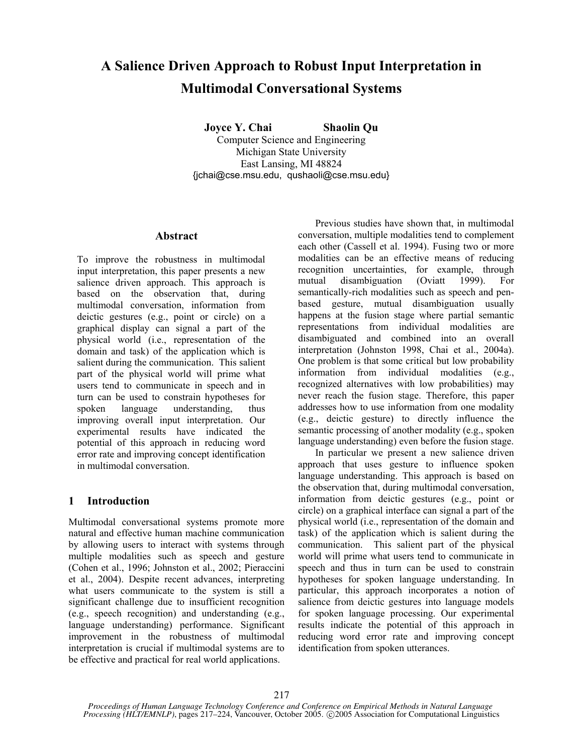# **A Salience Driven Approach to Robust Input Interpretation in Multimodal Conversational Systems**

**Joyce Y. Chai Shaolin Qu** 

Computer Science and Engineering Michigan State University East Lansing, MI 48824 {jchai@cse.msu.edu, qushaoli@cse.msu.edu}

# **Abstract**

To improve the robustness in multimodal input interpretation, this paper presents a new salience driven approach. This approach is based on the observation that, during multimodal conversation, information from deictic gestures (e.g., point or circle) on a graphical display can signal a part of the physical world (i.e., representation of the domain and task) of the application which is salient during the communication. This salient part of the physical world will prime what users tend to communicate in speech and in turn can be used to constrain hypotheses for spoken language understanding, thus improving overall input interpretation. Our experimental results have indicated the potential of this approach in reducing word error rate and improving concept identification in multimodal conversation.

# **1 Introduction**

Multimodal conversational systems promote more natural and effective human machine communication by allowing users to interact with systems through multiple modalities such as speech and gesture (Cohen et al., 1996; Johnston et al., 2002; Pieraccini et al., 2004). Despite recent advances, interpreting what users communicate to the system is still a significant challenge due to insufficient recognition (e.g., speech recognition) and understanding (e.g., language understanding) performance. Significant improvement in the robustness of multimodal interpretation is crucial if multimodal systems are to be effective and practical for real world applications.

Previous studies have shown that, in multimodal conversation, multiple modalities tend to complement each other (Cassell et al. 1994). Fusing two or more modalities can be an effective means of reducing recognition uncertainties, for example, through mutual disambiguation (Oviatt 1999). For semantically-rich modalities such as speech and penbased gesture, mutual disambiguation usually happens at the fusion stage where partial semantic representations from individual modalities are disambiguated and combined into an overall interpretation (Johnston 1998, Chai et al., 2004a). One problem is that some critical but low probability information from individual modalities (e.g., recognized alternatives with low probabilities) may never reach the fusion stage. Therefore, this paper addresses how to use information from one modality (e.g., deictic gesture) to directly influence the semantic processing of another modality (e.g., spoken language understanding) even before the fusion stage.

In particular we present a new salience driven approach that uses gesture to influence spoken language understanding. This approach is based on the observation that, during multimodal conversation, information from deictic gestures (e.g., point or circle) on a graphical interface can signal a part of the physical world (i.e., representation of the domain and task) of the application which is salient during the communication. This salient part of the physical world will prime what users tend to communicate in speech and thus in turn can be used to constrain hypotheses for spoken language understanding. In particular, this approach incorporates a notion of salience from deictic gestures into language models for spoken language processing. Our experimental results indicate the potential of this approach in reducing word error rate and improving concept identification from spoken utterances.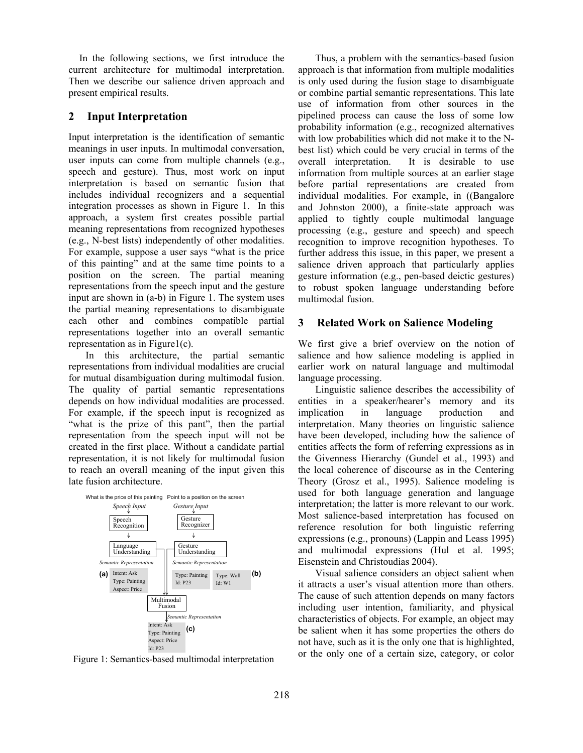In the following sections, we first introduce the current architecture for multimodal interpretation. Then we describe our salience driven approach and present empirical results.

### **2 Input Interpretation**

Input interpretation is the identification of semantic meanings in user inputs. In multimodal conversation, user inputs can come from multiple channels (e.g., speech and gesture). Thus, most work on input interpretation is based on semantic fusion that includes individual recognizers and a sequential integration processes as shown in Figure 1. In this approach, a system first creates possible partial meaning representations from recognized hypotheses (e.g., N-best lists) independently of other modalities. For example, suppose a user says "what is the price of this painting" and at the same time points to a position on the screen. The partial meaning representations from the speech input and the gesture input are shown in (a-b) in Figure 1. The system uses the partial meaning representations to disambiguate each other and combines compatible partial representations together into an overall semantic representation as in Figure1(c).

In this architecture, the partial semantic representations from individual modalities are crucial for mutual disambiguation during multimodal fusion. The quality of partial semantic representations depends on how individual modalities are processed. For example, if the speech input is recognized as "what is the prize of this pant", then the partial representation from the speech input will not be created in the first place. Without a candidate partial representation, it is not likely for multimodal fusion to reach an overall meaning of the input given this late fusion architecture.



Figure 1: Semantics-based multimodal interpretation

Thus, a problem with the semantics-based fusion approach is that information from multiple modalities is only used during the fusion stage to disambiguate or combine partial semantic representations. This late use of information from other sources in the pipelined process can cause the loss of some low probability information (e.g., recognized alternatives with low probabilities which did not make it to the Nbest list) which could be very crucial in terms of the overall interpretation. It is desirable to use information from multiple sources at an earlier stage before partial representations are created from individual modalities. For example, in ((Bangalore and Johnston 2000), a finite-state approach was applied to tightly couple multimodal language processing (e.g., gesture and speech) and speech recognition to improve recognition hypotheses. To further address this issue, in this paper, we present a salience driven approach that particularly applies gesture information (e.g., pen-based deictic gestures) to robust spoken language understanding before multimodal fusion.

### **3 Related Work on Salience Modeling**

We first give a brief overview on the notion of salience and how salience modeling is applied in earlier work on natural language and multimodal language processing.

Linguistic salience describes the accessibility of entities in a speaker/hearer's memory and its implication in language production and interpretation. Many theories on linguistic salience have been developed, including how the salience of entities affects the form of referring expressions as in the Givenness Hierarchy (Gundel et al., 1993) and the local coherence of discourse as in the Centering Theory (Grosz et al., 1995). Salience modeling is used for both language generation and language interpretation; the latter is more relevant to our work. Most salience-based interpretation has focused on reference resolution for both linguistic referring expressions (e.g., pronouns) (Lappin and Leass 1995) and multimodal expressions (Hul et al. 1995; Eisenstein and Christoudias 2004).

Visual salience considers an object salient when it attracts a user's visual attention more than others. The cause of such attention depends on many factors including user intention, familiarity, and physical characteristics of objects. For example, an object may be salient when it has some properties the others do not have, such as it is the only one that is highlighted, or the only one of a certain size, category, or color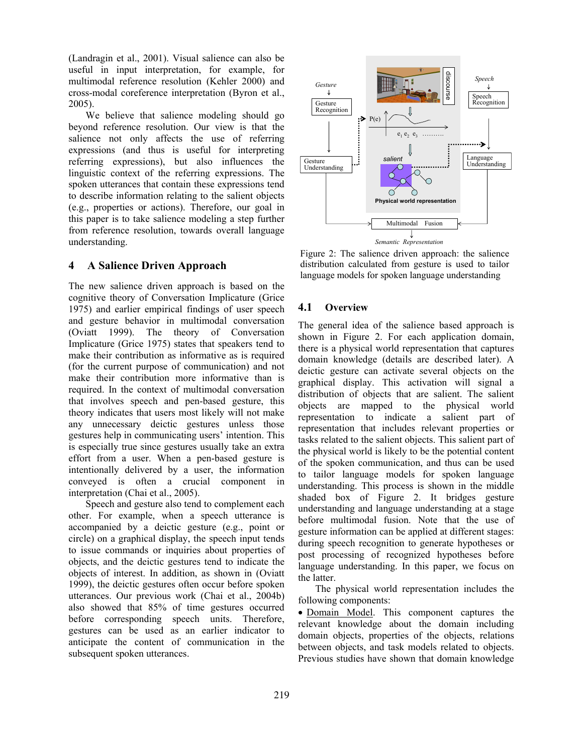(Landragin et al., 2001). Visual salience can also be useful in input interpretation, for example, for multimodal reference resolution (Kehler 2000) and cross-modal coreference interpretation (Byron et al., 2005).

We believe that salience modeling should go beyond reference resolution. Our view is that the salience not only affects the use of referring expressions (and thus is useful for interpreting referring expressions), but also influences the linguistic context of the referring expressions. The spoken utterances that contain these expressions tend to describe information relating to the salient objects (e.g., properties or actions). Therefore, our goal in this paper is to take salience modeling a step further from reference resolution, towards overall language understanding.

### **4 A Salience Driven Approach**

The new salience driven approach is based on the cognitive theory of Conversation Implicature (Grice 1975) and earlier empirical findings of user speech and gesture behavior in multimodal conversation (Oviatt 1999). The theory of Conversation Implicature (Grice 1975) states that speakers tend to make their contribution as informative as is required (for the current purpose of communication) and not make their contribution more informative than is required. In the context of multimodal conversation that involves speech and pen-based gesture, this theory indicates that users most likely will not make any unnecessary deictic gestures unless those gestures help in communicating users' intention. This is especially true since gestures usually take an extra effort from a user. When a pen-based gesture is intentionally delivered by a user, the information conveyed is often a crucial component in interpretation (Chai et al., 2005).

Speech and gesture also tend to complement each other. For example, when a speech utterance is accompanied by a deictic gesture (e.g., point or circle) on a graphical display, the speech input tends to issue commands or inquiries about properties of objects, and the deictic gestures tend to indicate the objects of interest. In addition, as shown in (Oviatt 1999), the deictic gestures often occur before spoken utterances. Our previous work (Chai et al., 2004b) also showed that 85% of time gestures occurred before corresponding speech units. Therefore, gestures can be used as an earlier indicator to anticipate the content of communication in the subsequent spoken utterances.



Figure 2: The salience driven approach: the salience distribution calculated from gesture is used to tailor language models for spoken language understanding

### **4.1 Overview**

The general idea of the salience based approach is shown in Figure 2. For each application domain, there is a physical world representation that captures domain knowledge (details are described later). A deictic gesture can activate several objects on the graphical display. This activation will signal a distribution of objects that are salient. The salient objects are mapped to the physical world representation to indicate a salient part of representation that includes relevant properties or tasks related to the salient objects. This salient part of the physical world is likely to be the potential content of the spoken communication, and thus can be used to tailor language models for spoken language understanding. This process is shown in the middle shaded box of Figure 2. It bridges gesture understanding and language understanding at a stage before multimodal fusion. Note that the use of gesture information can be applied at different stages: during speech recognition to generate hypotheses or post processing of recognized hypotheses before language understanding. In this paper, we focus on the latter.

The physical world representation includes the following components:

• Domain Model. This component captures the relevant knowledge about the domain including domain objects, properties of the objects, relations between objects, and task models related to objects. Previous studies have shown that domain knowledge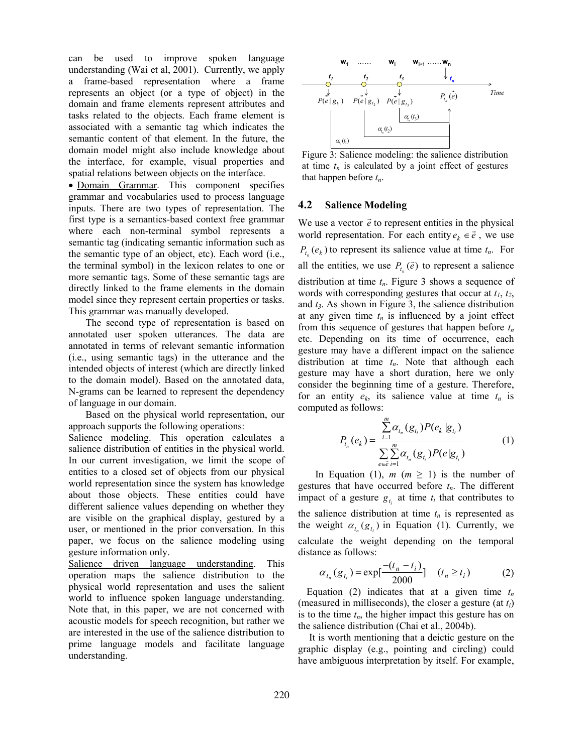can be used to improve spoken language understanding (Wai et al, 2001). Currently, we apply a frame-based representation where a frame represents an object (or a type of object) in the domain and frame elements represent attributes and tasks related to the objects. Each frame element is associated with a semantic tag which indicates the semantic content of that element. In the future, the domain model might also include knowledge about the interface, for example, visual properties and spatial relations between objects on the interface.

 $\bullet$  Domain Grammar. This component specifies that happen before  $t_n$ . grammar and vocabularies used to process language inputs. There are two types of representation. The first type is a semantics-based context free grammar where each non-terminal symbol represents a semantic tag (indicating semantic information such as the semantic type of an object, etc). Each word (i.e., the terminal symbol) in the lexicon relates to one or more semantic tags. Some of these semantic tags are directly linked to the frame elements in the domain model since they represent certain properties or tasks. This grammar was manually developed.

The second type of representation is based on annotated user spoken utterances. The data are annotated in terms of relevant semantic information (i.e., using semantic tags) in the utterance and the intended objects of interest (which are directly linked to the domain model). Based on the annotated data, N-grams can be learned to represent the dependency of language in our domain.

Based on the physical world representation, our approach supports the following operations:

Salience modeling. This operation calculates a salience distribution of entities in the physical world. In our current investigation, we limit the scope of entities to a closed set of objects from our physical world representation since the system has knowledge about those objects. These entities could have different salience values depending on whether they are visible on the graphical display, gestured by a user, or mentioned in the prior conversation. In this paper, we focus on the salience modeling using gesture information only.

Salience driven language understanding. This operation maps the salience distribution to the physical world representation and uses the salient world to influence spoken language understanding. Note that, in this paper, we are not concerned with acoustic models for speech recognition, but rather we are interested in the use of the salience distribution to prime language models and facilitate language understanding.



Figure 3: Salience modeling: the salience distribution at time  $t_n$  is calculated by a joint effect of gestures

### **4.2 Salience Modeling**

We use a vector  $\vec{e}$  to represent entities in the physical world representation. For each entity  $e_k \in \vec{e}$ , we use  $P_{t_n}(e_k)$  to represent its salience value at time  $t_n$ . For all the entities, we use  $P_{t_n}(\vec{e})$  to represent a salience distribution at time  $t_n$ . Figure 3 shows a sequence of words with corresponding gestures that occur at *t1*, *t2*, and *t3*. As shown in Figure 3, the salience distribution at any given time  $t_n$  is influenced by a joint effect from this sequence of gestures that happen before  $t_n$ etc. Depending on its time of occurrence, each gesture may have a different impact on the salience distribution at time  $t_n$ . Note that although each gesture may have a short duration, here we only consider the beginning time of a gesture. Therefore, for an entity  $e_k$ , its salience value at time  $t_n$  is computed as follows:

$$
P_{t_n}(e_k) = \frac{\sum_{i=1}^{m} \alpha_{t_n}(g_{t_i}) P(e_k | g_{t_i})}{\sum_{e \in \vec{e}} \sum_{i=1}^{m} \alpha_{t_n}(g_{t_i}) P(e | g_{t_i})}
$$
(1)

In Equation (1),  $m$  ( $m \geq 1$ ) is the number of gestures that have occurred before  $t_n$ . The different impact of a gesture  $g_{t_i}$  at time  $t_i$  that contributes to the salience distribution at time  $t_n$  is represented as the weight  $\alpha_{t_n}(g_{t_i})$  in Equation (1). Currently, we calculate the weight depending on the temporal distance as follows:

$$
\alpha_{t_n}(g_{t_i}) = \exp[\frac{-(t_n - t_i)}{2000}] \quad (t_n \ge t_i)
$$
 (2)

Equation (2) indicates that at a given time  $t_n$ (measured in milliseconds), the closer a gesture (at *ti*) is to the time  $t_n$ , the higher impact this gesture has on the salience distribution (Chai et al., 2004b).

It is worth mentioning that a deictic gesture on the graphic display (e.g., pointing and circling) could have ambiguous interpretation by itself. For example,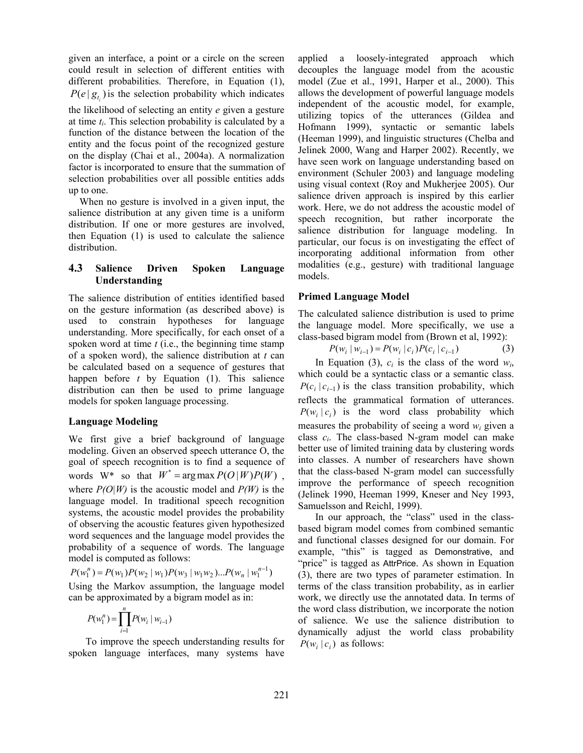given an interface, a point or a circle on the screen could result in selection of different entities with different probabilities. Therefore, in Equation (1),  $P(e | g_{t_i})$  is the selection probability which indicates

the likelihood of selecting an entity *e* given a gesture at time *ti*. This selection probability is calculated by a function of the distance between the location of the entity and the focus point of the recognized gesture on the display (Chai et al., 2004a). A normalization factor is incorporated to ensure that the summation of selection probabilities over all possible entities adds up to one.

When no gesture is involved in a given input, the salience distribution at any given time is a uniform distribution. If one or more gestures are involved, then Equation (1) is used to calculate the salience distribution.

### **4.3 Salience Driven Spoken Language Understanding**

The salience distribution of entities identified based on the gesture information (as described above) is used to constrain hypotheses for language understanding. More specifically, for each onset of a spoken word at time *t* (i.e., the beginning time stamp of a spoken word), the salience distribution at *t* can be calculated based on a sequence of gestures that happen before *t* by Equation (1). This salience distribution can then be used to prime language models for spoken language processing.

# **Language Modeling**

words  $W^*$  so that  $W^* = \arg \max P(O | W) P(W)$ , We first give a brief background of language modeling. Given an observed speech utterance O, the goal of speech recognition is to find a sequence of where  $P(O|W)$  is the acoustic model and  $P(W)$  is the language model. In traditional speech recognition systems, the acoustic model provides the probability of observing the acoustic features given hypothesized word sequences and the language model provides the probability of a sequence of words. The language model is computed as follows:

 $P(w_1^n) = P(w_1)P(w_2 | w_1)P(w_3 | w_1w_2)...P(w_n | w_1^{n-1})$ 

Using the Markov assumption, the language model can be approximated by a bigram model as in:

$$
P(w_1^n) = \prod_{i=1}^n P(w_i \mid w_{i-1})
$$

To improve the speech understanding results for spoken language interfaces, many systems have applied a loosely-integrated approach which decouples the language model from the acoustic model (Zue et al., 1991, Harper et al., 2000). This allows the development of powerful language models independent of the acoustic model, for example, utilizing topics of the utterances (Gildea and Hofmann 1999), syntactic or semantic labels (Heeman 1999), and linguistic structures (Chelba and Jelinek 2000, Wang and Harper 2002). Recently, we have seen work on language understanding based on environment (Schuler 2003) and language modeling using visual context (Roy and Mukherjee 2005). Our salience driven approach is inspired by this earlier work. Here, we do not address the acoustic model of speech recognition, but rather incorporate the salience distribution for language modeling. In particular, our focus is on investigating the effect of incorporating additional information from other modalities (e.g., gesture) with traditional language models.

# **Primed Language Model**

The calculated salience distribution is used to prime the language model. More specifically, we use a class-based bigram model from (Brown et al, 1992):

$$
P(w_i | w_{i-1}) = P(w_i | c_i) P(c_i | c_{i-1})
$$
\n(3)

In Equation (3),  $c_i$  is the class of the word  $w_i$ , which could be a syntactic class or a semantic class.  $P(c_i | c_{i-1})$  is the class transition probability, which reflects the grammatical formation of utterances.  $P(w_i | c_i)$  is the word class probability which measures the probability of seeing a word *wi* given a class *ci*. The class-based N-gram model can make better use of limited training data by clustering words into classes. A number of researchers have shown that the class-based N-gram model can successfully improve the performance of speech recognition (Jelinek 1990, Heeman 1999, Kneser and Ney 1993, Samuelsson and Reichl, 1999).

In our approach, the "class" used in the classbased bigram model comes from combined semantic and functional classes designed for our domain. For example, "this" is tagged as Demonstrative, and "price" is tagged as AttrPrice. As shown in Equation (3), there are two types of parameter estimation. In terms of the class transition probability, as in earlier work, we directly use the annotated data. In terms of the word class distribution, we incorporate the notion of salience. We use the salience distribution to dynamically adjust the world class probability  $P(w_i | c_i)$  as follows: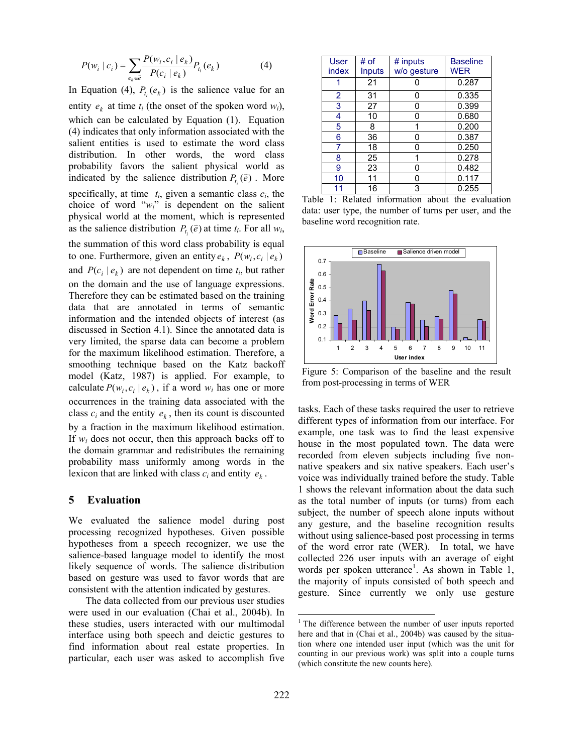$$
P(w_i \mid c_i) = \sum_{e_k \in \overline{e}} \frac{P(w_i, c_i \mid e_k)}{P(c_i \mid e_k)} P_{t_i}(e_k)
$$
 (4)

In Equation (4),  $P_{t_i}(e_k)$  is the salience value for an entity  $e_k$  at time  $t_i$  (the onset of the spoken word  $w_i$ ), which can be calculated by Equation (1). Equation (4) indicates that only information associated with the salient entities is used to estimate the word class distribution. In other words, the word class probability favors the salient physical world as indicated by the salience distribution  $P_{t_i}(\vec{e})$ . More specifically, at time  $t_i$ , given a semantic class  $c_i$ , the choice of word "*wi*" is dependent on the salient physical world at the moment, which is represented as the salience distribution  $P_{t_i}(\vec{e})$  at time  $t_i$ . For all  $w_i$ , the summation of this word class probability is equal to one. Furthermore, given an entity  $e_k$ ,  $P(w_i, c_i | e_k)$ and  $P(c_i | e_k)$  are not dependent on time  $t_i$ , but rather on the domain and the use of language expressions. Therefore they can be estimated based on the training data that are annotated in terms of semantic information and the intended objects of interest (as discussed in Section 4.1). Since the annotated data is very limited, the sparse data can become a problem for the maximum likelihood estimation. Therefore, a smoothing technique based on the Katz backoff model (Katz, 1987) is applied. For example, to calculate  $P(w_i, c_i | e_k)$ , if a word  $w_i$  has one or more occurrences in the training data associated with the class  $c_i$  and the entity  $e_k$ , then its count is discounted by a fraction in the maximum likelihood estimation. If *wi* does not occur, then this approach backs off to the domain grammar and redistributes the remaining probability mass uniformly among words in the lexicon that are linked with class  $c_i$  and entity  $e_k$ .

### **5 Evaluation**

We evaluated the salience model during post processing recognized hypotheses. Given possible hypotheses from a speech recognizer, we use the salience-based language model to identify the most likely sequence of words. The salience distribution based on gesture was used to favor words that are consistent with the attention indicated by gestures.

The data collected from our previous user studies were used in our evaluation (Chai et al., 2004b). In these studies, users interacted with our multimodal interface using both speech and deictic gestures to find information about real estate properties. In particular, each user was asked to accomplish five

| <b>User</b><br>index | # of<br>Inputs | # inputs<br>w/o gesture | <b>Baseline</b><br><b>WER</b> |
|----------------------|----------------|-------------------------|-------------------------------|
|                      | 21             |                         | 0.287                         |
| $\overline{2}$       | 31             | 0                       | 0.335                         |
| 3                    | 27             | 0                       | 0.399                         |
| 4                    | 10             | 0                       | 0.680                         |
| 5                    | 8              |                         | 0.200                         |
| 6                    | 36             | 0                       | 0.387                         |
| 7                    | 18             | 0                       | 0.250                         |
| 8                    | 25             |                         | 0.278                         |
| 9                    | 23             | ი                       | 0.482                         |
| 10                   | 11             | 0                       | 0.117                         |
| 11                   | 16             | 3                       | 0.255                         |

Table 1: Related information about the evaluation data: user type, the number of turns per user, and the baseline word recognition rate.



Figure 5: Comparison of the baseline and the result from post-processing in terms of WER

tasks. Each of these tasks required the user to retrieve different types of information from our interface. For example, one task was to find the least expensive house in the most populated town. The data were recorded from eleven subjects including five nonnative speakers and six native speakers. Each user's voice was individually trained before the study. Table 1 shows the relevant information about the data such as the total number of inputs (or turns) from each subject, the number of speech alone inputs without any gesture, and the baseline recognition results without using salience-based post processing in terms of the word error rate (WER). In total, we have collected 226 user inputs with an average of eight words per spoken utterance<sup>1</sup>. As shown in Table 1, the majority of inputs consisted of both speech and gesture. Since currently we only use gesture

 $\overline{a}$ 

<sup>&</sup>lt;sup>1</sup> The difference between the number of user inputs reported here and that in (Chai et al., 2004b) was caused by the situation where one intended user input (which was the unit for counting in our previous work) was split into a couple turns (which constitute the new counts here).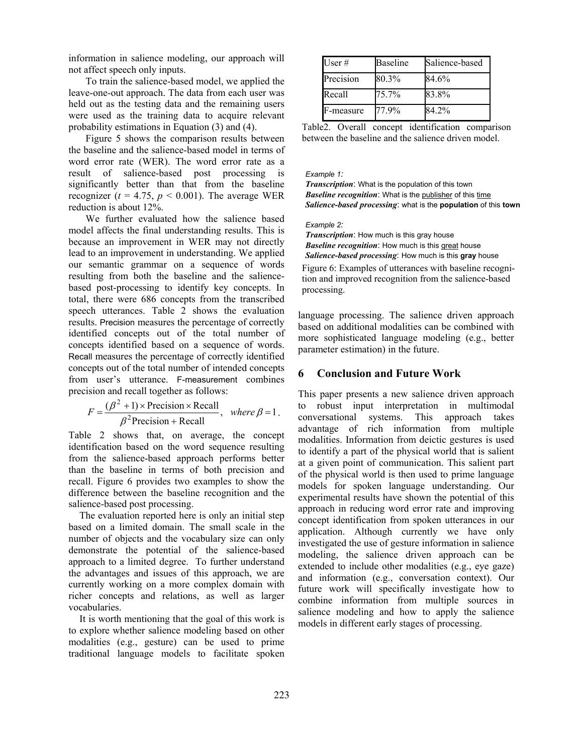information in salience modeling, our approach will not affect speech only inputs.

To train the salience-based model, we applied the leave-one-out approach. The data from each user was held out as the testing data and the remaining users were used as the training data to acquire relevant probability estimations in Equation (3) and (4).

Figure 5 shows the comparison results between the baseline and the salience-based model in terms of word error rate (WER). The word error rate as a result of salience-based post processing is significantly better than that from the baseline recognizer ( $t = 4.75$ ,  $p < 0.001$ ). The average WER reduction is about 12%.

We further evaluated how the salience based model affects the final understanding results. This is because an improvement in WER may not directly lead to an improvement in understanding. We applied our semantic grammar on a sequence of words resulting from both the baseline and the saliencebased post-processing to identify key concepts. In total, there were 686 concepts from the transcribed speech utterances. Table 2 shows the evaluation results. Precision measures the percentage of correctly identified concepts out of the total number of concepts identified based on a sequence of words. Recall measures the percentage of correctly identified concepts out of the total number of intended concepts from user's utterance. F-measurement combines precision and recall together as follows:

$$
F = \frac{(\beta^2 + 1) \times \text{Precision} \times \text{Recall}}{\beta^2 \text{Precision} + \text{Recall}}, \text{ where } \beta = 1.
$$

Table 2 shows that, on average, the concept identification based on the word sequence resulting from the salience-based approach performs better than the baseline in terms of both precision and recall. Figure 6 provides two examples to show the difference between the baseline recognition and the salience-based post processing.

The evaluation reported here is only an initial step based on a limited domain. The small scale in the number of objects and the vocabulary size can only demonstrate the potential of the salience-based approach to a limited degree. To further understand the advantages and issues of this approach, we are currently working on a more complex domain with richer concepts and relations, as well as larger vocabularies.

It is worth mentioning that the goal of this work is to explore whether salience modeling based on other modalities (e.g., gesture) can be used to prime traditional language models to facilitate spoken

| User #    | <b>Baseline</b> | Salience-based |
|-----------|-----------------|----------------|
| Precision | 80.3%           | 84.6%          |
| Recall    | 75.7%           | 83.8%          |
| F-measure | 77.9%           | 84.2%          |

Table2. Overall concept identification comparison between the baseline and the salience driven model.

### *Example 1:*

*Transcription*: What is the population of this town **Baseline recognition:** What is the publisher of this time *Salience-based processing*: what is the **population** of this **town**

*Example 2:*

*Transcription*: How much is this gray house *Baseline recognition*: How much is this great house *Salience-based processing*: How much is this **gray** house Figure 6: Examples of utterances with baseline recognition and improved recognition from the salience-based processing.

language processing. The salience driven approach based on additional modalities can be combined with more sophisticated language modeling (e.g., better parameter estimation) in the future.

# **6 Conclusion and Future Work**

This paper presents a new salience driven approach to robust input interpretation in multimodal conversational systems. This approach takes advantage of rich information from multiple modalities. Information from deictic gestures is used to identify a part of the physical world that is salient at a given point of communication. This salient part of the physical world is then used to prime language models for spoken language understanding. Our experimental results have shown the potential of this approach in reducing word error rate and improving concept identification from spoken utterances in our application. Although currently we have only investigated the use of gesture information in salience modeling, the salience driven approach can be extended to include other modalities (e.g., eye gaze) and information (e.g., conversation context). Our future work will specifically investigate how to combine information from multiple sources in salience modeling and how to apply the salience models in different early stages of processing.